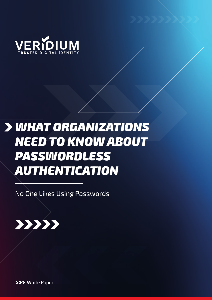

# *WHAT ORGANIZATIONS NEED TO KNOW ABOUT PASSWORDLESS AUTHENTICATION*

No One Likes Using Passwords



**>>>** White Paper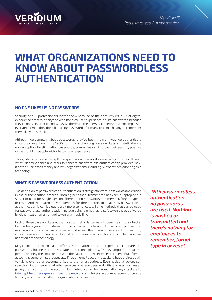

# **WHAT ORGANIZATIONS NEED TO KNOW ABOUT PASSWORDLESS AUTHENTICATION**

# **NO ONE LIKES USING PASSWORDS**

Security and IT professionals loathe them because of their security risks. Chief digital experience officers or anyone who handles user experience dislike passwords because they're not very user friendly. Lastly, there are the users, a category that encompasses everyone. While they don't like using passwords for many reasons, having to remember them likely tops the list.

Although we complain about passwords, they've been the main way we authenticate since their invention in the 1960s. But that's changing. Passwordless authentication is now an option. By eliminating passwords, companies can improve their security posture while providing people with a better user experience.

This guide provides an in-depth perspective on passwordless authentication. You'll learn what user experience and security benefits passwordless authentication provides, how it saves businesses money and why organizations, including Microsoft, are adopting this technology.

## **WHAT IS PASSWORDLESS AUTHENTICATION**

The definition of passwordless authentication is straightforward: passwords aren't used in the authentication process. Nothing is hashed, transmitted between a laptop and a server or used for single sign-on. There are no passwords to remember, forget, type in or reset. And there aren't any credentials for threat actors to steal. How passwordless authentication is carried out is a bit more complicated. Some methods that can be used for passwordless authentication include using biometrics, a soft token that's delivered by either text or email, a hard token or a magic link.

Each of these passwordless authentication methods comes with benefits and drawbacks. People have grown accustomed to using biometrics to unlock their smartphones and mobile apps. The experience is faster and easier than using a password. But security concerns over what happens if biometric data is exposed in a breach could hinder wider adoption of this technology.

Magic links and tokens also offer a better authentication experience compared to passwords. But neither one validates a person's identity. The assumption is that the person opening the email or text with the passcode is the intended recipient. But after an account is compromised, especially if it's an email account, attackers have a direct path to taking over other accounts linked to that email address. Even novice attackers can search an inbox, learn what other services a person uses and initiate a password reset, giving them control of the account. Cell networks can be hacked, allowing attackers to intercept text messages sent over the network, and tokens are cumbersome for people to carry around and costly for organizations to maintain.

*With passwordless authentication, no passwords are used. Nothing is hashed or transmitted and there's nothing for employees to remember, forget, type in or reset.*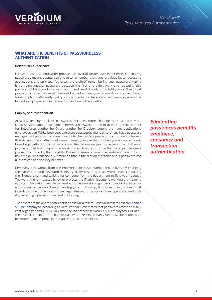

### **WHAT ARE THE BENEFITS OF PASSWORDLESS AUTHENTICATION**

#### **Better user experience**

Passwordless authentication provides an overall better user experience. Eliminating passwords means people don't have to remember them and provides faster access to applications and services. You break the cycle of remembering your password, typing it in, trying another password because the first one didn't work and repeating this process until one works or you give up and reset it (only to be told you can't use that password since you've used it before). Instead, you use your biometrics and smartphone, for example, to efficiently and quickly authenticate. Here's how eliminating passwords benefits employee, consumer and transaction authentication.

#### **Employee authentication**

At work, keeping track of passwords becomes more challenging as we use more cloud services and applications. There's a password to log in to your laptop, another for Salesforce, another for Gmail, another for Dropbox, among the many applications employees use. While browsers can store passwords, many enterprises have password management policies that require users to change their passwords at frequent intervals (there's also the challenge of remembering your password when you access a cloudbased application from another browser, like the one on your home computer). In theory, people should use unique passwords for each account. In reality, most people reuse passwords or modify them slightly. Password reuse is a major security violation that can have major repercussions but more on that in the section that talks about passwordless authentication's security benefits.

Removing passwords from the enterprise increases worker productivity by changing the dynamic around password resets. Typically, resetting a password means contacting the IT department and waiting for someone from the department to field your request. The wait time is impacted by other projects the IT administrator is working on, meaning you could be waiting awhile to reset your password and get back to work. Or, in larger enterprises, a password reset can trigger a multi-step, time-consuming process that includes contacting a worker's manager. Password resets can mean people spend their day resetting a password instead of working.

Then there are the operational costs to password resets. Password resets cost companies \$70 per employee, according to Okta. Veridium estimates that password resets annually cost organizations \$1.9 million based on an enterprise with 10,000 employees. Out of all the tasks IT administrators handle, passwords resets probably rank low. Their time could be better spent on projects that add value to the business.

*Eliminating passwords benefits employee, consumer and transaction authentication*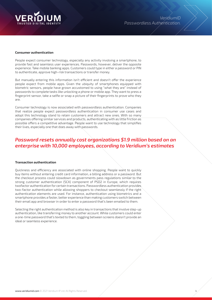

#### **Consumer authentication**

People expect consumer technology, especially any activity involving a smartphone, to provide fast and seamless user experiences. Passwords, however, deliver the opposite experience. Take mobile banking apps. Customers could type in either a password or PIN to authenticate, approve high-risk transactions or transfer money.

But manually entering this information isn't efficient and doesn't offer the experience people expect from mobile apps. Given the ubiquity of smartphones equipped with biometric sensors, people have grown accustomed to using "what they are" instead of passwords to complete tasks like unlocking a phone or mobile app. They want to press a fingerprint sensor, take a selfie or snap a picture of their fingerprints to prove who they are.

Consumer technology is now associated with passwordless authentication. Companies that realize people expect passwordless authentication in consumer use cases and adopt this technology stand to retain customers and attract new ones. With so many companies offering similar services and products, authenticating with as little friction as possible offers a competitive advantage. People want to use technology that simplifies their lives, especially one that does away with passwords.

# *Password resets annually cost organizations \$1.9 million based on an enterprise with 10,000 employees, according to Veridium's estimates*

#### **Transaction authentication**

Quickness and efficiency are associated with online shopping. People want to quickly buy items without entering credit card information, a billing address or a password. But the checkout process could slowdown as governments pass regulations similar to the strong customer authentication (SCA) component of PSD2 in Europe, which requires twofactor authentication for certain transactions. Passwordless authentication provides two-factor authentication while allowing shoppers to checkout seamlessly if the right authentication elements are used. For instance, authentication using biometrics and a smartphone provides a faster, better experience than making customers switch between their email app and browser in order to enter a password that's been emailed to them.

Selecting the right authentication method is also key in transactions that involve step-up authentication, like transferring money to another account. While customers could enter a one-time password that's texted to them, toggling between screens doesn't provide an ideal or seamless experience.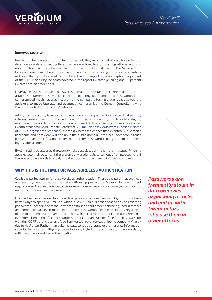

#### **Improved security**

Passwords have a security problem. Turns out, they're not an ideal way for protecting data. Passwords are frequently stolen in data breaches or phishing attacks and end up with threat actors who use them in other attacks. Just look at the Verizon Data Investigations Breach Report. Each year it seems to list phishing and stolen credentials as two of the top tactics used by attackers. The 2019 report was no exception: 32 percent of the 41,686 security incidents covered in the report involved phishing and 29 percent involved stolen credentials.

Leveraging usernames and passwords remains a key tactic for threat actors. In an attack that targeted 10 mobile carriers, collecting usernames and passwords from compromised machines was integral to the campaign. Having credentials allowed the attackers to move laterally and eventually compromise the Domain Controller, giving them full control of the victims' network.

Adding to the security issues around passwords is that people violate a cardinal security rule and reuse them (that's in addition to other poor security practices like slightly modifying passwords or using common phrases). With credentials commonly exposed in data breaches (Veridium calculated that 390 million passwords were exposed in some of 2018's largest data breaches), there's an increased chance that, eventually, a person's username and password will end up in the public domain. Attackers know people reuse passwords and there's a possibility that a stolen password could get them into users' high-value accounts.

By eliminating passwords, the security risks associated with them are mitigated. Phishing attacks lose their potency if there aren't any credentials to con out of employees. And if there aren't passwords to steal, threat actors can't use them to infiltrate companies.

# **WHY THIS IS THE TIME FOR PASSWORDLESS AUTHENTICATION**

Call it the perfect storm for passwordless authentication. There's the perennial business and security need to reduce the risks with using passwords. Meanwhile, government regulation and user experience concerns mean companies are considering authentication methods that don't involve passwords.

From a business perspective, resetting passwords is expensive. Organizations have better ways to spend \$1.9 million, which is how much business spend yearly on resetting passwords. Factor in the steady stream of stories about credentials being used in attacks and companies are even more keen to ditch passwords. Security incidents, regardless of the initial penetration vector, are costly. Repercussions can include data breaches (see Home Depot, Equifax and countless other companies), fines (see British Airways for violating GDPR), brand damage (see Sony) or lost revenue (see shipping company Maersk due to NotPetya). Rather than building walls to keep out attackers, enterprise information security focuses on mitigating security risks, including relying less on passwords by rolling out passwordless authentication.

*Passwords are frequently stolen in data breaches or phishing attacks and end up with threat actors who use them in other attacks*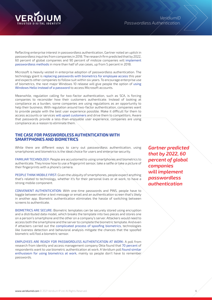

Reflecting enterprise interest in passwordless authentication, Gartner noted an uptick in passwordless inquiries from companies in 2018. The research firm predicted that by 2022, 60 percent of global companies and 90 percent of midsize companies will implement passwordless methods in more than half of use cases, up from 5 percent in 2018.

Microsoft is heavily vested in enterprise adoption of passwordless authentication. The technology giant is replacing passwords with biometrics for employee access this year and expects other companies to follow suit within six years. To encourage enterprise use of biometrics, the next major Windows 10 release will give people the option of using Windows Hello instead of a password to access Microsoft accounts.

Meanwhile, regulation calling for two-factor authentication, such as SCA, is forcing companies to reconsider how their customers authenticate. Instead of looking at compliance as a burden, some companies are using regulations as an opportunity to help their business. With regulation around two-factor authentication, companies want to provide people with the best user experience possible. Make it difficult for them to access accounts or services will upset customers and drive them to competitors. Aware that passwords provide a less-than-enjoyable user experience, companies are using compliance as a reason to eliminate them.

### **THE CASE FOR PASSWORDLESS AUTHENTICATION WITH SMARTPHONES AND BIOMETRICS**

While there are different ways to carry out passwordless authentication, using smartphones and biometrics is the ideal choice for users and enterprise security.

FAMILIAR TECHNOLOGY: People are accustomed to using smartphones and biometrics to authenticate. They know how to use a fingerprint sensor, take a selfie or take a picture of their fingerprints with a phone's camera.

PEOPLE THINK MOBILE FIRST: Given the ubiquity of smartphones, people expect anything that's related to technology, whether it's for their personal lives or at work, to have a strong mobile component.

CONVENIENT AUTHENTICATION: With one-time passwords and PINS, people have to toggle between either a text message or email and an authentication screen that's likely in another app. Biometric authentication eliminates the hassle of switching between screens to authenticate.

BIOMETRICS ARE SECURE: Biometric templates can be securely stored using encryption and a distributed data model, which breaks the template into two pieces and stores one on a person's smartphone and the other on a company's server. Attackers would need to access both the smartphone and the server to complete the biometric template. And even if attackers carried out the complicated process of spoofing biometrics, technologies like liveness detection and behavioral analysis mitigate the chances that the spoofed biometric will fool a biometric sensor.

EMPLOYEES ARE READY FOR PASSWORDLESS AUTHENTICATION AT WORK: A poll from research from identity and access management company Okta found that 70 percent of respondents want to use biometric authentication at work. A Veridium poll found similar enthusiasm for using biometrics at work, mainly so people don't have to remember passwords.

*Gartner predicted that by 2022, 60 percent of global companies will implement passwordless authentication*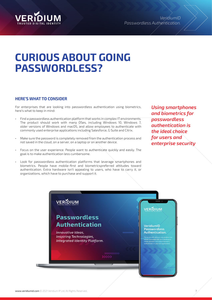

*VeridiumID Passwordless Authentication.*

# **CURIOUS ABOUT GOING PASSWORDLESS?**

# **HERE'S WHAT TO CONSIDER**

For enterprises that are looking into passwordless authentication using biometrics, here's what to keep in mind:

- Find a passwordless authentication platform that works in complex IT environments. The product should work with many OSes, including Windows 10, Windows 7, older versions of Windows and macOS, and allow employees to authenticate with commonly used enterprise applications including Salesforce, G Suite and Citrix.
- Make sure the password is completely removed from the authentication process and not saved in the cloud, on a server, on a laptop or on another device.
- Focus on the user experience. People want to authenticate quickly and easily. The goal is to make authentication less cumbersome.
- Look for passwordless authentication platforms that leverage smartphones and biometrics. People have mobile-first and biometricspreferred attitudes toward authentication. Extra hardware isn't appealing to users, who have to carry it, or organizations, which have to purchase and support it.

*Using smartphones and biometrics for passwordless authentication is the ideal choice for users and enterprise security*